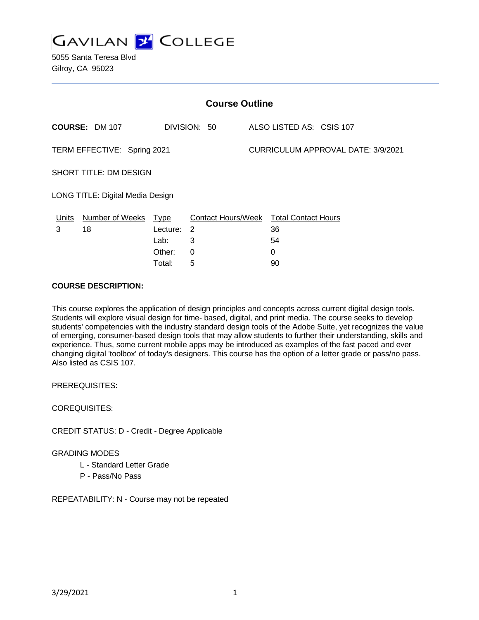

5055 Santa Teresa Blvd Gilroy, CA 95023

| <b>Course Outline</b>            |                        |             |                           |                                    |                            |  |
|----------------------------------|------------------------|-------------|---------------------------|------------------------------------|----------------------------|--|
|                                  | <b>COURSE: DM 107</b>  |             | DIVISION: 50              |                                    | ALSO LISTED AS: CSIS 107   |  |
| TERM EFFECTIVE: Spring 2021      |                        |             |                           | CURRICULUM APPROVAL DATE: 3/9/2021 |                            |  |
| SHORT TITLE: DM DESIGN           |                        |             |                           |                                    |                            |  |
| LONG TITLE: Digital Media Design |                        |             |                           |                                    |                            |  |
| <u>Units</u>                     | <b>Number of Weeks</b> | <u>Type</u> | <b>Contact Hours/Week</b> |                                    | <b>Total Contact Hours</b> |  |
| 3                                | 18                     | Lecture:    | 2                         |                                    | 36                         |  |
|                                  |                        | Lab:        | 3                         |                                    | 54                         |  |
|                                  |                        | Other:      | 0                         |                                    | 0                          |  |
|                                  |                        | Total:      | 5                         |                                    | 90                         |  |

#### **COURSE DESCRIPTION:**

This course explores the application of design principles and concepts across current digital design tools. Students will explore visual design for time- based, digital, and print media. The course seeks to develop students' competencies with the industry standard design tools of the Adobe Suite, yet recognizes the value of emerging, consumer-based design tools that may allow students to further their understanding, skills and experience. Thus, some current mobile apps may be introduced as examples of the fast paced and ever changing digital 'toolbox' of today's designers. This course has the option of a letter grade or pass/no pass. Also listed as CSIS 107.

PREREQUISITES:

COREQUISITES:

CREDIT STATUS: D - Credit - Degree Applicable

GRADING MODES

- L Standard Letter Grade
- P Pass/No Pass

REPEATABILITY: N - Course may not be repeated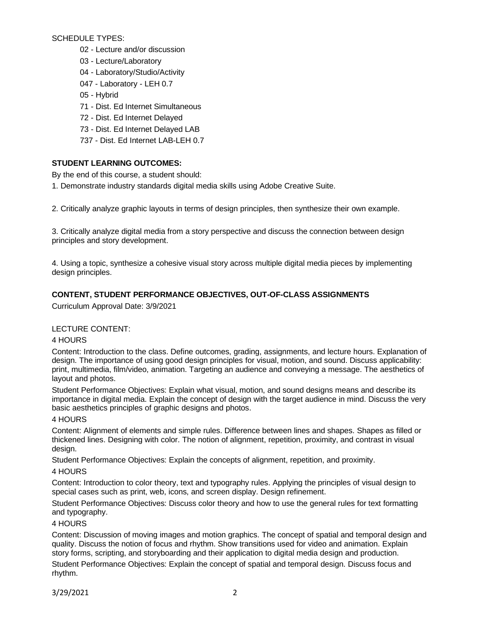SCHEDULE TYPES:

- 02 Lecture and/or discussion
- 03 Lecture/Laboratory
- 04 Laboratory/Studio/Activity
- 047 Laboratory LEH 0.7
- 05 Hybrid
- 71 Dist. Ed Internet Simultaneous
- 72 Dist. Ed Internet Delayed
- 73 Dist. Ed Internet Delayed LAB
- 737 Dist. Ed Internet LAB-LEH 0.7

# **STUDENT LEARNING OUTCOMES:**

By the end of this course, a student should:

1. Demonstrate industry standards digital media skills using Adobe Creative Suite.

2. Critically analyze graphic layouts in terms of design principles, then synthesize their own example.

3. Critically analyze digital media from a story perspective and discuss the connection between design principles and story development.

4. Using a topic, synthesize a cohesive visual story across multiple digital media pieces by implementing design principles.

# **CONTENT, STUDENT PERFORMANCE OBJECTIVES, OUT-OF-CLASS ASSIGNMENTS**

Curriculum Approval Date: 3/9/2021

# LECTURE CONTENT:

## 4 HOURS

Content: Introduction to the class. Define outcomes, grading, assignments, and lecture hours. Explanation of design. The importance of using good design principles for visual, motion, and sound. Discuss applicability: print, multimedia, film/video, animation. Targeting an audience and conveying a message. The aesthetics of layout and photos.

Student Performance Objectives: Explain what visual, motion, and sound designs means and describe its importance in digital media. Explain the concept of design with the target audience in mind. Discuss the very basic aesthetics principles of graphic designs and photos.

## 4 HOURS

Content: Alignment of elements and simple rules. Difference between lines and shapes. Shapes as filled or thickened lines. Designing with color. The notion of alignment, repetition, proximity, and contrast in visual design.

Student Performance Objectives: Explain the concepts of alignment, repetition, and proximity.

## 4 HOURS

Content: Introduction to color theory, text and typography rules. Applying the principles of visual design to special cases such as print, web, icons, and screen display. Design refinement.

Student Performance Objectives: Discuss color theory and how to use the general rules for text formatting and typography.

## 4 HOURS

Content: Discussion of moving images and motion graphics. The concept of spatial and temporal design and quality. Discuss the notion of focus and rhythm. Show transitions used for video and animation. Explain story forms, scripting, and storyboarding and their application to digital media design and production.

Student Performance Objectives: Explain the concept of spatial and temporal design. Discuss focus and rhythm.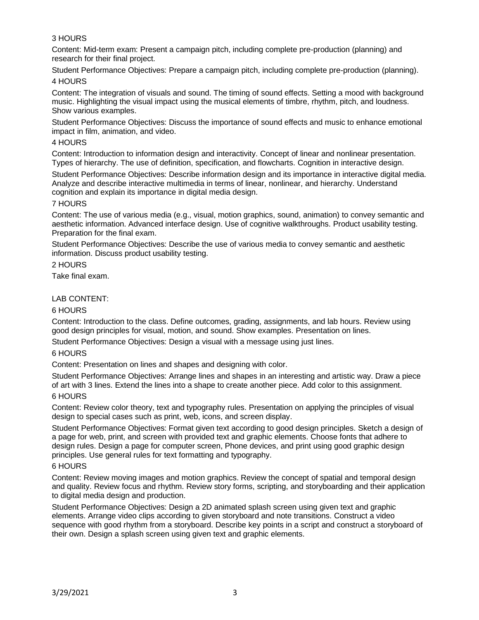# 3 HOURS

Content: Mid-term exam: Present a campaign pitch, including complete pre-production (planning) and research for their final project.

Student Performance Objectives: Prepare a campaign pitch, including complete pre-production (planning). 4 HOURS

Content: The integration of visuals and sound. The timing of sound effects. Setting a mood with background music. Highlighting the visual impact using the musical elements of timbre, rhythm, pitch, and loudness. Show various examples.

Student Performance Objectives: Discuss the importance of sound effects and music to enhance emotional impact in film, animation, and video.

#### 4 HOURS

Content: Introduction to information design and interactivity. Concept of linear and nonlinear presentation. Types of hierarchy. The use of definition, specification, and flowcharts. Cognition in interactive design.

Student Performance Objectives: Describe information design and its importance in interactive digital media. Analyze and describe interactive multimedia in terms of linear, nonlinear, and hierarchy. Understand cognition and explain its importance in digital media design.

## 7 HOURS

Content: The use of various media (e.g., visual, motion graphics, sound, animation) to convey semantic and aesthetic information. Advanced interface design. Use of cognitive walkthroughs. Product usability testing. Preparation for the final exam.

Student Performance Objectives: Describe the use of various media to convey semantic and aesthetic information. Discuss product usability testing.

## 2 HOURS

Take final exam.

## LAB CONTENT:

#### 6 HOURS

Content: Introduction to the class. Define outcomes, grading, assignments, and lab hours. Review using good design principles for visual, motion, and sound. Show examples. Presentation on lines.

Student Performance Objectives: Design a visual with a message using just lines.

## 6 HOURS

Content: Presentation on lines and shapes and designing with color.

Student Performance Objectives: Arrange lines and shapes in an interesting and artistic way. Draw a piece of art with 3 lines. Extend the lines into a shape to create another piece. Add color to this assignment.

## 6 HOURS

Content: Review color theory, text and typography rules. Presentation on applying the principles of visual design to special cases such as print, web, icons, and screen display.

Student Performance Objectives: Format given text according to good design principles. Sketch a design of a page for web, print, and screen with provided text and graphic elements. Choose fonts that adhere to design rules. Design a page for computer screen, Phone devices, and print using good graphic design principles. Use general rules for text formatting and typography.

#### 6 HOURS

Content: Review moving images and motion graphics. Review the concept of spatial and temporal design and quality. Review focus and rhythm. Review story forms, scripting, and storyboarding and their application to digital media design and production.

Student Performance Objectives: Design a 2D animated splash screen using given text and graphic elements. Arrange video clips according to given storyboard and note transitions. Construct a video sequence with good rhythm from a storyboard. Describe key points in a script and construct a storyboard of their own. Design a splash screen using given text and graphic elements.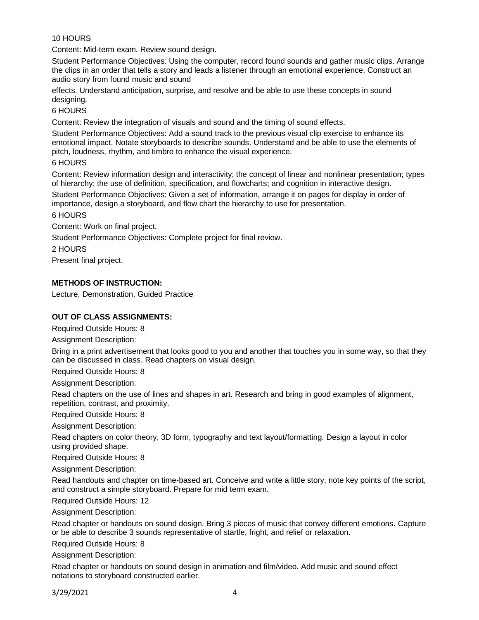# 10 HOURS

Content: Mid-term exam. Review sound design.

Student Performance Objectives: Using the computer, record found sounds and gather music clips. Arrange the clips in an order that tells a story and leads a listener through an emotional experience. Construct an audio story from found music and sound

effects. Understand anticipation, surprise, and resolve and be able to use these concepts in sound designing.

#### 6 HOURS

Content: Review the integration of visuals and sound and the timing of sound effects.

Student Performance Objectives: Add a sound track to the previous visual clip exercise to enhance its emotional impact. Notate storyboards to describe sounds. Understand and be able to use the elements of pitch, loudness, rhythm, and timbre to enhance the visual experience.

#### 6 HOURS

Content: Review information design and interactivity; the concept of linear and nonlinear presentation; types of hierarchy; the use of definition, specification, and flowcharts; and cognition in interactive design.

Student Performance Objectives: Given a set of information, arrange it on pages for display in order of importance, design a storyboard, and flow chart the hierarchy to use for presentation.

#### 6 HOURS

Content: Work on final project.

Student Performance Objectives: Complete project for final review.

2 HOURS

Present final project.

## **METHODS OF INSTRUCTION:**

Lecture, Demonstration, Guided Practice

## **OUT OF CLASS ASSIGNMENTS:**

Required Outside Hours: 8

Assignment Description:

Bring in a print advertisement that looks good to you and another that touches you in some way, so that they can be discussed in class. Read chapters on visual design.

Required Outside Hours: 8

Assignment Description:

Read chapters on the use of lines and shapes in art. Research and bring in good examples of alignment, repetition, contrast, and proximity.

Required Outside Hours: 8

Assignment Description:

Read chapters on color theory, 3D form, typography and text layout/formatting. Design a layout in color using provided shape.

Required Outside Hours: 8

Assignment Description:

Read handouts and chapter on time-based art. Conceive and write a little story, note key points of the script, and construct a simple storyboard. Prepare for mid term exam.

Required Outside Hours: 12

Assignment Description:

Read chapter or handouts on sound design. Bring 3 pieces of music that convey different emotions. Capture or be able to describe 3 sounds representative of startle, fright, and relief or relaxation.

Required Outside Hours: 8

Assignment Description:

Read chapter or handouts on sound design in animation and film/video. Add music and sound effect notations to storyboard constructed earlier.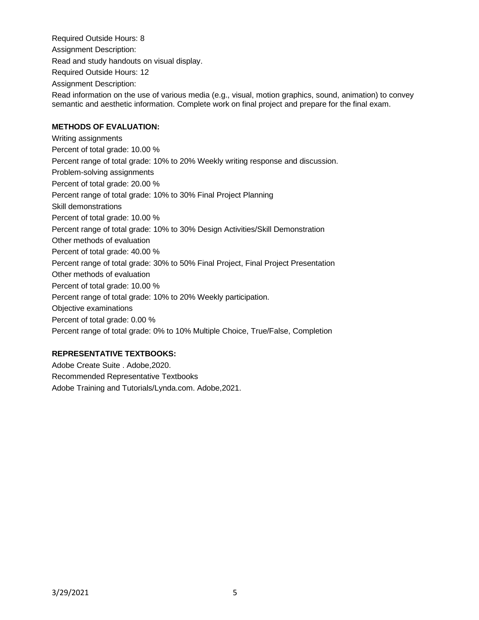Required Outside Hours: 8 Assignment Description: Read and study handouts on visual display. Required Outside Hours: 12 Assignment Description: Read information on the use of various media (e.g., visual, motion graphics, sound, animation) to convey semantic and aesthetic information. Complete work on final project and prepare for the final exam.

# **METHODS OF EVALUATION:**

Writing assignments Percent of total grade: 10.00 % Percent range of total grade: 10% to 20% Weekly writing response and discussion. Problem-solving assignments Percent of total grade: 20.00 % Percent range of total grade: 10% to 30% Final Project Planning Skill demonstrations Percent of total grade: 10.00 % Percent range of total grade: 10% to 30% Design Activities/Skill Demonstration Other methods of evaluation Percent of total grade: 40.00 % Percent range of total grade: 30% to 50% Final Project, Final Project Presentation Other methods of evaluation Percent of total grade: 10.00 % Percent range of total grade: 10% to 20% Weekly participation. Objective examinations Percent of total grade: 0.00 % Percent range of total grade: 0% to 10% Multiple Choice, True/False, Completion

# **REPRESENTATIVE TEXTBOOKS:**

Adobe Create Suite . Adobe,2020. Recommended Representative Textbooks Adobe Training and Tutorials/Lynda.com. Adobe,2021.